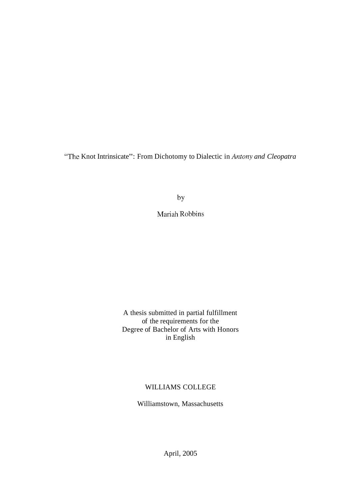"The Knot Intrinsicate": From Dichotomy to Dialectic in *Antony and Cleopatra* 

by

Mariah Robbins

A thesis submitted in partial fulfillment of the requirements for the Degree of Bachelor of Arts with Honors in English

## WILLIAMS COLLEGE

Williamstown, Massachusetts

April, 2005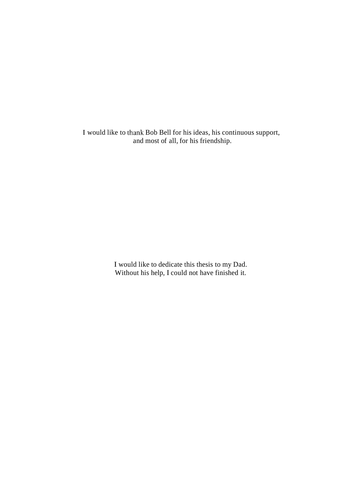I would like to thank Bob Bell for his ideas, his continuous support, and most of all, for his friendship.

> I would like to dedicate this thesis to my Dad. Without his help, I could not have finished it.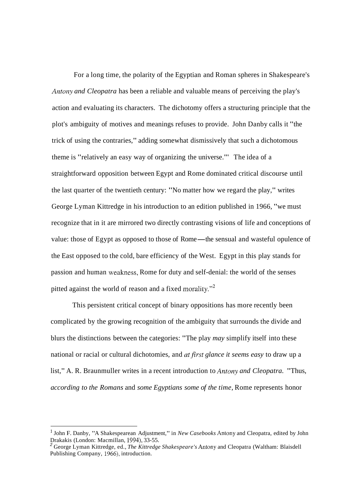For a long time, the polarity of the Egyptian and Roman spheres in Shakespeare's *Antony and Cleopatra* has been a reliable and valuable means of perceiving the play's action and evaluating its characters. The dichotomy offers a structuring principle that the plot's ambiguity of motives and meanings refuses to provide. John Danby calls it "the trick of using the contraries," adding somewhat dismissively that such a dichotomous theme is "relatively an easy way of organizing the universe."' The idea of a straightforward opposition between Egypt and Rome dominated critical discourse until the last quarter of the twentieth century: "No matter how we regard the play," writes George Lyman Kittredge in his introduction to an edition published in 1966, "we must recognize that in it are mirrored two directly contrasting visions of life and conceptions of value: those of Egypt as opposed to those of Rome—the sensual and wasteful opulence of the East opposed to the cold, bare efficiency of the West. Egypt in this play stands for passion and human weakness, Rome for duty and self-denial: the world of the senses pitted against the world of reason and a fixed morality."2

This persistent critical concept of binary oppositions has more recently been complicated by the growing recognition of the ambiguity that surrounds the divide and blurs the distinctions between the categories: "The play *may* simplify itself into these national or racial or cultural dichotomies, and *atfirst glance it seems easy* to draw up a list," A. R. Braunmuller writes in a recent introduction to *Antony and Cleopatra.* "Thus, *according to the Romans* and *some Egyptians some of the time,* Rome represents honor

<sup>&</sup>lt;sup>1</sup> John F. Danby, "A Shakespearean Adjustment," in *New Casebooks* Antony and Cleopatra, edited by John Drakakis (London: Macmillan, 1994), 33-55.

<sup>&</sup>lt;sup>2</sup> George Lyman Kittredge, ed., *The Kittredge Shakespeare's* Antony and Cleopatra (Waltham: Blaisdell Publishing Company, 1966), introduction.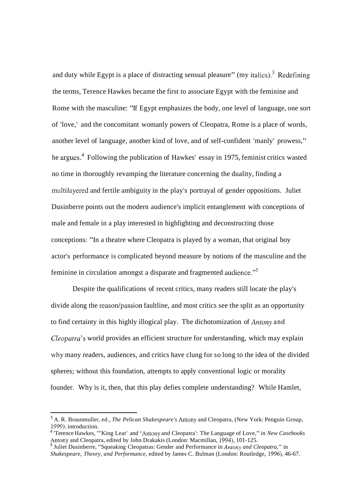and duty while Egypt is a place of distracting sensual pleasure" (my italics).<sup>3</sup> Redefining the terms, Terence Hawkes became the first to associate Egypt with the feminine and Rome with the masculine: "If Egypt emphasizes the body, one level of language, one sort of 'love,' and the concomitant womanly powers of Cleopatra, Rome is a place of words, another level of language, another kind of love, and of self-confident 'manly' prowess," he argues.<sup>4</sup> Following the publication of Hawkes' essay in 1975, feminist critics wasted no time in thoroughly revamping the literature concerning the duality, finding a multilayered and fertile ambiguity in the play's portrayal of gender oppositions. Juliet Dusinberre points out the modern audience's implicit entanglement with conceptions of male and female in a play interested in highlighting and deconstructing those conceptions: "In a theatre where Cleopatra is played by a woman, that original boy actor's performance is complicated beyond measure by notions of the masculine and the feminine in circulation amongst a disparate and fragmented audience."<sup>5</sup>

Despite the qualifications of recent critics, many readers still locate the play's divide along the reason/passion faultline, and most critics see the split as an opportunity to find certainty in this highly illogical play. The dichotomization of Antony and Cleopatra's world provides an efficient structure for understanding, which may explain why many readers, audiences, and critics have clung for so long to the idea of the divided spheres; without this foundation, attempts to apply conventional logic or morality founder. Why is it, then, that this play defies complete understanding? While Hamlet,

A. R. Braunmuller, ed., *The Pelican Shakespeare's* Antony and Cleopatra, (New York: Penguin Group, 1999), introduction.

<sup>&#</sup>x27;Terence Hawkes, "'King Lear' and 'Antony and Cleopatra': The Language of Love," in *New Casebooks*  Antony and Cleopatra, edited by John Drakakis (London: Macmillan, 1994), 101-125.

Juliet Dusinberre, "Squeaking Cleopatras: Gender and Performance in *Antony and Cleopatra,"* in *Shakespeare, Theory, and Performance,* edited by James C. Bulman (London: Routledge, 1996), 46-67.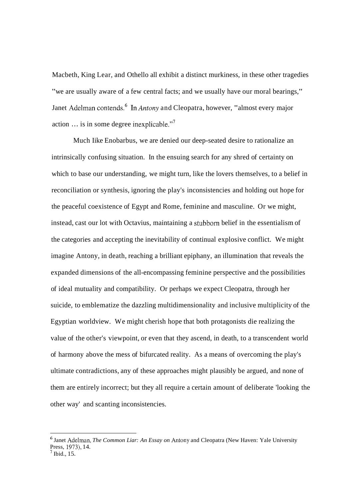Macbeth, King Lear, and Othello all exhibit a distinct murkiness, in these other tragedies "we are usually aware of a few central facts; and we usually have our moral bearings," Janet Adelman contends.<sup>6</sup> In Antony and Cleopatra, however, "almost every major action  $\ldots$  is in some degree inexplicable."

Much Iike Enobarbus, we are denied our deep-seated desire to rationalize an intrinsically confusing situation. In the ensuing search for any shred of certainty on which to base our understanding, we might turn, like the lovers themselves, to a belief in reconciliation or synthesis, ignoring the play's inconsistencies and holding out hope for the peaceful coexistence of Egypt and Rome, feminine and masculine. Or we might, instead, cast our lot with Octavius, maintaining a stubborn belief in the essentialism of the categories and accepting the inevitability of continual explosive conflict. We might imagine Antony, in death, reaching a brilliant epiphany, an illumination that reveals the expanded dimensions of the all-encompassing feminine perspective and the possibilities of ideal mutuality and compatibility. Or perhaps we expect Cleopatra, through her suicide, to emblematize the dazzling multidimensionality and inclusive multiplicity of the Egyptian worldview. We might cherish hope that both protagonists die realizing the value of the other's viewpoint, or even that they ascend, in death, to a transcendent world of harmony above the mess of bifurcated reality. As a means of overcoming the play's ultimate contradictions, any of these approaches might plausibly be argued, and none of them are entirely incorrect; but they all require a certain amount of deliberate 'looking the other way' and scanting inconsistencies.

<sup>&</sup>lt;sup>6</sup> Janet Adelman, *The Common Liar: An Essay on Antony and Cleopatra (New Haven: Yale University* Press, 1973), 14.<br><sup>7</sup> Ibid., 15.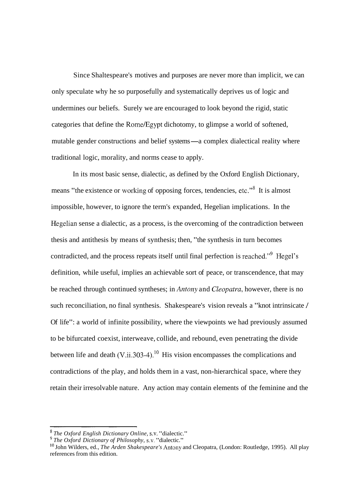Since Shaltespeare's motives and purposes are never more than implicit, we can only speculate why he so purposefully and systematically deprives us of logic and undermines our beliefs. Surely we are encouraged to look beyond the rigid, static categories that define the Rome/Egypt dichotomy, to glimpse a world of softened, mutable gender constructions and belief systems—a complex dialectical reality where traditional logic, morality, and norms cease to apply.

In its most basic sense, dialectic, as defined by the Oxford English Dictionary, means "the existence or working of opposing forces, tendencies, etc."<sup>8</sup> It is almost impossible, however, to ignore the term's expanded, Hegelian implications. In the Hegelian sense a dialectic, as a process, is the overcoming of the contradiction between thesis and antithesis by means of synthesis; then, "the synthesis in turn becomes contradicted, and the process repeats itself until final perfection is reached."<sup>9</sup> Hegel's definition, while useful, implies an achievable sort of peace, or transcendence, that may be reached through continued syntheses; in *Antony* and *Cleopatra*, however, there is no such reconciliation, no final synthesis. Shakespeare's vision reveals a "knot intrinsicate / Of life": a world of infinite possibility, where the viewpoints we had previously assumed to be bifurcated coexist, interweave, collide, and rebound, even penetrating the divide between life and death  $(V_{\text{ii}}.303-4)$ .<sup>10</sup> His vision encompasses the complications and contradictions of the play, and holds them in a vast, non-hierarchical space, where they retain their irresolvable nature. Any action may contain elements of the feminine and the

*The Oxford English Dictionary Online,* S.V. "dialectic."

*The Oxford Dictionary of Philosophy,* s.v. "dialectic."

lo John Wilders, ed., *The Arden Shakespeare's* Antony and Cleopatra, (London: Routledge, 1995). All play references from this edition.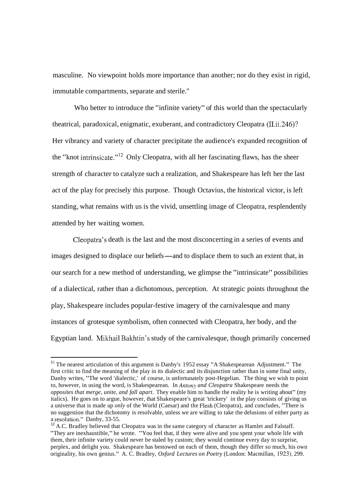masculine. No viewpoint holds more importance than another; nor do they exist in rigid, immutable compartments, separate and sterile.''

Who better to introduce the "infinite variety" of this world than the spectacularly theatrical, paradoxical, enigmatic, exuberant, and contradictory Cleopatra (II.ii.246)? Her vibrancy and variety of character precipitate the audience's expanded recognition of the "knot intrinsicate."<sup>12</sup> Only Cleopatra, with all her fascinating flaws, has the sheer strength of character to catalyze such a realization, and Shakespeare has left her the last act of the play for precisely this purpose. Though Octavius, the historical victor, is left standing, what remains with us is the vivid, unsettling image of Cleopatra, resplendently attended by her waiting women.

Cleopatra's death is the last and the most disconcerting in a series of events and images designed to displace our beliefs—and to displace them to such an extent that, in our search for a new method of understanding, we glimpse the "intrinsicate" possibilities of a dialectical, rather than a dichotomous, perception. At strategic points throughout the play, Shakespeare includes popular-festive imagery of the carnivalesque and many instances of grotesque symbolism, often connected with Cleopatra, her body, and the Egyptian land. Milhail Balhtin's study of the carnivalesque, though primarily concerned

<sup>&</sup>lt;sup>11</sup> The nearest articulation of this argument is Danby's 1952 essay "A Shakespearean Adjustment." The first critic to find the meaning of the play in its dialectic and its disjunction rather than in some final unity, Danby writes, "The word 'dialectic,' of course, is unfortunately post-Hegelian. The thing we wish to point to, however, in using the word, is Shakespearean. In *Antony and Cleopatra* Shakespeare needs the *opposites that merge, unite, and fall apart.* They enable him to handle the reality he is writing about" (my italics). He goes on to argue, however, that Shakespeare's great 'trickery' in the play consists of giving us a universe that is made up *only* of the World (Caesar) and the Flesh (Cleopatra), and concludes, "There is no suggestion that the dichotomy is resolvable, unless we are willing to take the delusions of either party as

<sup>&</sup>lt;sup>12</sup> A.C. Bradley believed that Cleopatra was in the same category of character as Hamlet and Falstaff. "They are inexhaustible," he wrote. "You feel that, if they were alive and you spent your whole life with them, their infinite variety could never be staled by custom; they would continue every day to surprise, perplex, and delight you. Shakespeare has bestowed on each of them, though they differ so much, his own originality, his own genius." A. C. Bradley, *Oxford Lectures on Poetry* (London: Macmillan, 1923), 299.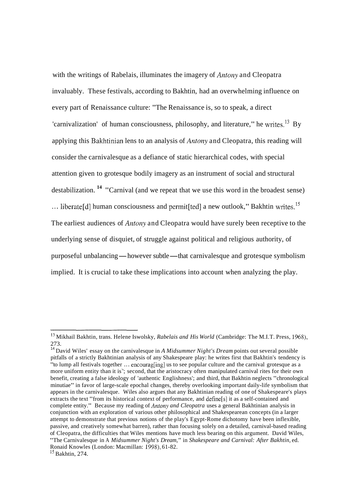with the writings of Rabelais, illuminates the imagery of *Antony* and Cleopatra invaluably. These festivals, according to Bakhtin, had an overwhelming influence on every part of Renaissance culture: "The Renaissance is, so to speak, a direct 'carnivalization' of human consciousness, philosophy, and literature," he writes.<sup>13</sup> By applying this Bakhtinian lens to an analysis of *Antony* and Cleopatra, this reading will consider the carnivalesque as a defiance of static hierarchical codes, with special attention given to grotesque bodily imagery as an instrument of social and structural destabilization.<sup>14</sup> "Carnival (and we repeat that we use this word in the broadest sense) ... liberate[d] human consciousness and permit[ted] a new outlook," Bakhtin writes.<sup>15</sup> The earliest audiences of Antony and Cleopatra would have surely been receptive to the underlying sense of disquiet, of struggle against political and religious authority, of purposeful unbalancing—however subtle—that carnivalesque and grotesque symbolism implied. It is crucial to take these implications into account when analyzing the play.

l3 Mikhail Bakhtin, trans. Helene Iswolsky, *Rabelais and His World* (Cambridge: The M.I.T. Press, 1968), 273.

<sup>&</sup>lt;sup>14</sup> David Wiles' essay on the carnivalesque in *A Midsummer Night's Dream* points out several possible pitfalls of a strictly Bakhtinian analysis of any Shakespeare play: he writes first that Bakhtin's tendency is pitfalls of a strictly Bakhtinian analysis of any Shakespeare play: he writes first that Bakhtin's tendency is<br>"to lump all festivals together ... encourag[ing] us to see popular culture and the carnival grotesque as a more uniform entity than it is"; second, that the aristocracy often manipulated carnival rites for their own benefit, creating a false ideology of 'authentic Englishness'; and third, that Bakhtin neglects "chronological minutiae" in favor of large-scale epochal changes, thereby overlooking important daily-life symbolism that appears in the carnivalesque. Wiles also argues that any Bakhtinian reading of one of Shakespeare's plays extracts the text "from its historical context of performance, and define[s] it as a self-contained and complete entity." Because my reading of *Antony and Cleopatra* uses a general Bakhtinian analysis in conjunction with an exploration of various other philosophical and Shakespearean concepts (in a larger attempt to demonstrate that previous notions of the play's Egypt-Rome dichotomy have been inflexible, passive, and creatively somewhat barren), rather than focusing solely on a detailed, carnival-based reading of Cleopatra, the difficulties that Wiles mentions have much less bearing on this argument. David Wiles, "The Carnivalesque in A *Midsummer Night's Dream,"* in *Shakespeare and Carnival: After Bakhtin,* ed.

Ronaid Knowles (London: Macmillan: 1998), 61-82.

 $15$  Bakhtin, 274.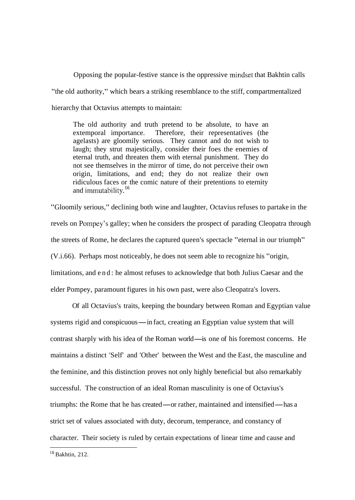Opposing the popular-festive stance is the oppressive mindset that Bakhtin calls "the old authority," which bears a striking resemblance to the stiff, compartmentalized hierarchy that Octavius attempts to maintain:

The old authority and truth pretend to be absolute, to have an extemporal importance. Therefore, their representatives (the agelasts) are gloomily serious. They cannot and do not wish to laugh; they strut majestically, consider their foes the enemies of eternal truth, and threaten them with eternal punishment. They do not see themselves in the mirror of time, do not perceive their own origin, limitations, and end; they do not realize their own ridiculous faces or the comic nature of their pretentions to eternity and immutability.<sup>16</sup>

"Gloomily serious," declining both wine and laughter, Octavius refuses to partake in the revels on Pompey's galley; when he considers the prospect of parading Cleopatra through the streets of Rome, he declares the captured queen's spectacle "eternal in our triumph" (V.i.66). Perhaps most noticeably, he does not seem able to recognize his "origin, limitations, and end: he almost refuses to acknowledge that both Julius Caesar and the elder Pompey, paramount figures in his own past, were also Cleopatra's lovers.

Of all Octavius's traits, keeping the boundary between Roman and Egyptian value systems rigid and conspicuous—in fact, creating an Egyptian value system that will contrast sharply with his idea of the Roman world—is one of his foremost concerns. He maintains a distinct 'Self' and 'Other' between the West and the East, the masculine and the feminine, and this distinction proves not only highly beneficial but also remarkably successful. The construction of an ideal Roman masculinity is one of Octavius's triumphs: the Rome that he has created-or rather, maintained and intensified-has a strict set of values associated with duty, decorum, temperance, and constancy of character. Their society is ruled by certain expectations of linear time and cause and

I6 Bakhtin, 212.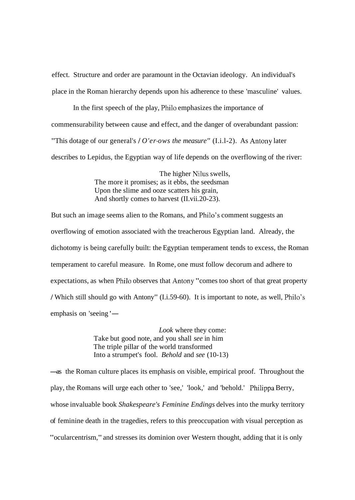effect. Structure and order are paramount in the Octavian ideology. An individual's place in the Roman hierarchy depends upon his adherence to these 'masculine' values.

In the first speech of the play, Philo emphasizes the importance of commensurability between cause and effect, and the danger of overabundant passion: "This dotage of our general's I *O'er-ows the measure"* (I.i.l-2). As Antony later describes to Lepidus, the Egyptian way of life depends on the overflowing of the river:

> The higher Nilus swells, The more it promises; as it ebbs, the seedsman Upon the slime and ooze scatters his grain, And shortly comes to harvest (II.vii.20-23).

But such an image seems alien to the Romans, and Philo's comment suggests an overflowing of emotion associated with the treacherous Egyptian land. Already, the dichotomy is being carefully built: the Egyptian temperament tends to excess, the Roman temperament to careful measure. In Rome, one must follow decorum and adhere to expectations, as when Philo observes that Antony "comes too short of that great property I Which still should go with Antony" (I.i.59-60). It is important to note, as well, Philo's emphasis on 'seeing '-

> *Look* where they come: Take but good note, and you shall *see* in him The triple pillar of the world transformed Into a strumpet's fool. *Behold* and *see* (10-13)

-as the Roman culture places its emphasis on visible, empirical proof. Throughout the play, the Romans will urge each other to 'see,' 'look,' and 'behold.' Philippa Berry, whose invaluable book *Shakespeare's Feminine Endings* delves into the murky territory of feminine death in the tragedies, refers to this preoccupation with visual perception as "ocularcentrism," and stresses its dominion over Western thought, adding that it is only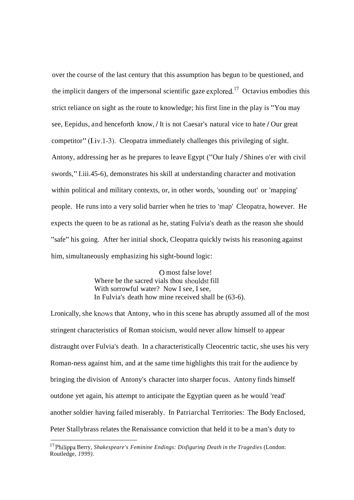over the course of the last century that this assumption has begun to be questioned, and the implicit dangers of the impersonal scientific gaze explored.<sup>17</sup> Octavius embodies this strict reliance on sight as the route to knowledge; his first line in the play is "You may see, Eepidus, and henceforth know, / It is not Caesar's natural vice to hate / Our great competitor" (I.iv. 1-3). Cleopatra immediately challenges this privileging of sight. Antony, addressing her as he prepares to leave Egypt ("Our Italy / Shines o'er with civil swords," I.iii.45-6), demonstrates his skill at understanding character and motivation within political and military contexts, or, in other words, 'sounding out' or 'mapping' people. He runs into a very solid barrier when he tries to 'map' Cleopatra, however. He expects the queen to be as rational as he, stating Fulvia's death as the reason she should "safe" his going. After her initial shock, Cleopatra quickly twists his reasoning against him, simultaneously emphasizing his sight-bound logic:

> 0 most false love! Where be the sacred vials thou shouldst fill With sorrowful water? Now I see, I see, In Fulvia's death how mine received shall be (63-6).

Lronically, she knows that Antony, who in this scene has abruptly assumed all of the most stringent characteristics of Roman stoicism, would never allow himself to appear distraught over Fulvia's death. In a characteristically Cleocentric tactic, she uses his very Roman-ness against him, and at the same time highlights this trait for the audience by bringing the division of Antony's character into sharper focus. Antony finds himself outdone yet again, his attempt to anticipate the Egyptian queen as he would 'read' another soldier having failed miserably. In Patriarchal Territories: The Body Enclosed, Peter Stallybrass relates the Renaissance conviction that held it to be a man's duty to

l7 Philippa Berry, *Shakespeare's Feminine Endings: Disfiguring Death in the Tragedies* (London: Routledge, *1999).*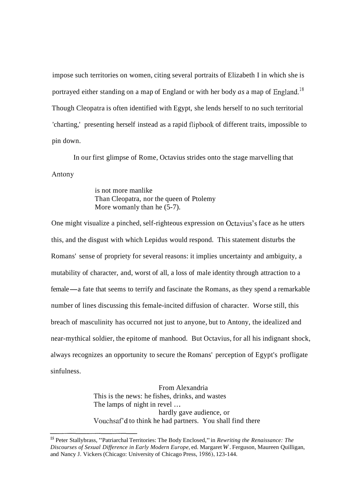impose such territories on women, citing several portraits of Elizabeth I in which she is portrayed either standing on a map of England or with her body  $as$  a map of England.<sup>18</sup> Though Cleopatra is often identified with Egypt, she lends herself to no such territorial 'charting,' presenting herself instead as a rapid flipbook of different traits, impossible to pin down.

In our first glimpse of Rome, Octavius strides onto the stage marvelling that Antony

> is not more manlike Than Cleopatra, nor the queen of Ptolemy More womanly than he  $(5-7)$ .

One might visualize a pinched, self-righteous expression on Octavius's face as he utters this, and the disgust with which Lepidus would respond. This statement disturbs the Romans' sense of propriety for several reasons: it implies uncertainty and ambiguity, a mutability of character, and, worst of all, a loss of male identity through attraction to a female—a fate that seems to terrify and fascinate the Romans, as they spend a remarkable number of lines discussing this female-incited diffusion of character. Worse still, this breach of masculinity has occurred not just to anyone, but to Antony, the idealized and near-mythical soldier, the epitome of manhood. But Octavius, for all his indignant shock, always recognizes an opportunity to secure the Romans' perception of Egypt's profligate sinfulness.

> From Alexandria This is the news: he fishes, drinks, and wastes The lamps of night in revel ... hardly gave audience, or Vouchsaf'd to think he had partners. You shall find there

l8 Peter Stallybrass, "Patriarchal Territories: The Body Enclosed," in *Rewriting the Renaissance: The Discourses of Sexual Difference in Early Modern Europe,* ed. Margaret *W.* Ferguson, Maureen Quilligan, and Nancy J. Vickers (Chicago: University of Chicago Press, 1986), 123-144.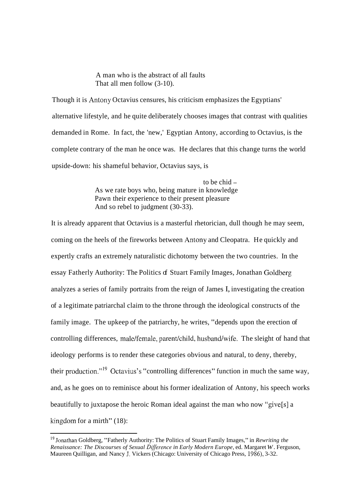## A man who is the abstract of all faults That all men follow (3-10).

Though it is Antony Octavius censures, his criticism emphasizes the Egyptians' alternative lifestyle, and he quite deliberately chooses images that contrast with qualities demanded in Rome. In fact, the 'new,' Egyptian Antony, according to Octavius, is the complete contrary of the man he once was. He declares that this change turns the world upside-down: his shameful behavior, Octavius says, is

> to be chid -As we rate boys who, being mature in knowledge Pawn their experience to their present pleasure And so rebel to judgment (30-33).

It is already apparent that Octavius is a masterful rhetorician, dull though he may seem, coming on the heels of the fireworks between Antony and Cleopatra. He quickly and expertly crafts an extremely naturalistic dichotomy between the two countries. In the essay Fatherly Authority: The Politics of Stuart Family Images, Jonathan Goldberg analyzes a series of family portraits from the reign of James I, investigating the creation of a legitimate patriarchal claim to the throne through the ideological constructs of the family image. The upkeep of the patriarchy, he writes, "depends upon the erection of controlling differences, male/female, parent/child, husband/wife. The sleight of hand that ideology performs is to render these categories obvious and natural, to deny, thereby, their production."<sup>19</sup> Octavius's "controlling differences" function in much the same way, and, as he goes on to reminisce about his former idealization of Antony, his speech works beautifully to juxtapose the heroic Roman ideal against the man who now "give[s] a kingdom for a mirth"  $(18)$ :

<sup>&</sup>lt;sup>19</sup> Jonathan Goldberg, "Fatherly Authority: The Politics of Stuart Family Images," in *Rewriting the Renaissance: The Discourses of Sexual Dzfference in Early Modern Europe,* ed. Margaret *W.* Ferguson, Maureen Quilligan, and Nancy J. Vickers (Chicago: University of Chicago Press, 1986), 3-32.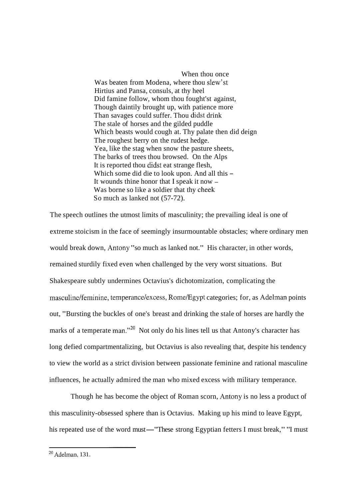When thou once Was beaten from Modena, where thou slew'st Hirtius and Pansa, consuls, at thy heel Did famine follow, whom thou fought'st against, Though daintily brought up, with patience more Than savages could suffer. Thou didst drink The stale of horses and the gilded puddle Which beasts would cough at. Thy palate then did deign The roughest berry on the rudest hedge. Yea, like the stag when snow the pasture sheets, The barks of trees thou browsed. On the Alps It is reported thou didst eat strange flesh, Which some did die to look upon. And all this -It wounds thine honor that I speak it now  $-$ Was borne so like a soldier that thy cheek So much as lanked not (57-72).

The speech outlines the utmost limits of masculinity; the prevailing ideal is one of extreme stoicism in the face of seemingly insurmountable obstacles; where ordinary men would break down, Antony "so much as lanked not." His character, in other words, remained sturdily fixed even when challenged by the very worst situations. But Shakespeare subtly undermines Octavius's dichotomization, complicating the masculine/feminine, temperance/excess, Rome/Egypt categories; for, as Adelman points out, "Bursting the buckles of one's breast and drinking the stale of horses are hardly the marks of a temperate man."<sup>20</sup> Not only do his lines tell us that Antony's character has long defied compartmentalizing, but Octavius is also revealing that, despite his tendency to view the world as a strict division between passionate feminine and rational masculine influences, he actually admired the man who mixed excess with military temperance.

Though he has become the object of Roman scorn, Antony is no less a product of this masculinity-obsessed sphere than is Octavius. Making up his mind to leave Egypt, his repeated use of the word must—"These strong Egyptian fetters I must break," "I must

**<sup>20</sup>** Adelman, 13 1.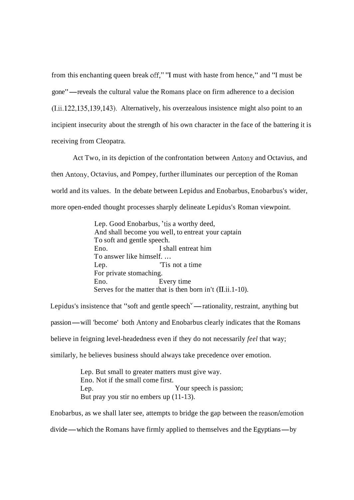from this enchanting queen break off," "I must with haste from hence," and "I must be gone" —reveals the cultural value the Romans place on firm adherence to a decision (I.ii.122,135,139,143). Alternatively, his overzealous insistence might also point to an incipient insecurity about the strength of his own character in the face of the battering it is receiving from Cleopatra.

Act Two, in its depiction of the confrontation between Antony and Octavius, and then Antony, Octavius, and Pompey, further illuminates our perception of the Roman world and its values. In the debate between Lepidus and Enobarbus, Enobarbus's wider, more open-ended thought processes sharply delineate Lepidus's Roman viewpoint.

> Lep. Good Enobarbus, 'tis a worthy deed, And shall become you well, to entreat your captain To soft and gentle speech. Eno. I shall entreat him To answer like himself. ... Lep.  $\Gamma$  'Tis not a time For private stomaching. Eno. Every time Serves for the matter that is then born in't (II.ii.1-10).

Serves for the matter that is then born in't (II.ii.1-10).<br>Lepidus's insistence that "soft and gentle speech"— rationality, restraint, anything but Lepidus's insistence that "soft and gentle speech<sup>v</sup> — rationality, restraint, anything but<br>passion — will 'become' both Antony and Enobarbus clearly indicates that the Romans believe in feigning level-headedness even if they do not necessarily *feel* that way; similarly, he believes business should always take precedence over emotion.

> Lep. But small to greater matters must give way. Eno. Not if the small come first. Lep. Your speech is passion; But pray you stir no embers up  $(11-13)$ .

Enobarbus, as we shall later see, attempts to bridge the gap between the reason/emotion divide—which the Romans have firmly applied to themselves and the Egyptians—by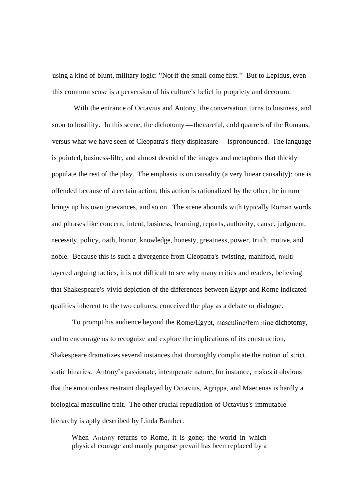using a kind of blunt, military logic: "Not if the small come first." But to Lepidus, even this common sense is a perversion of his culture's belief in propriety and decorum.

With the entrance of Octavius and Antony, the conversation turns to business, and soon to hostility. In this scene, the dichotomy—the careful, cold quarrels of the Romans, versus what we have seen of Cleopatra's fiery displeasure—is pronounced. The language is pointed, business-lilte, and almost devoid of the images and metaphors that thickly populate the rest of the play. The emphasis is on causality (a very linear causality): one is offended because of a certain action; this action is rationalized by the other; he in turn brings up his own grievances, and so on. The scene abounds with typically Roman words and phrases like concern, intent, business, learning, reports, authority, cause, judgment, necessity, policy, oath, honor, knowledge, honesty, greatness, power, truth, motive, and noble. Because this is such a divergence from Cleopatra's twisting, manifold, multilayered arguing tactics, it is not difficult to see why many critics and readers, believing that Shakespeare's vivid depiction of the differences between Egypt and Rome indicated qualities inherent to the two cultures, conceived the play as a debate or dialogue.

To prompt his audience beyond the Rome/Egypt, masculine/feminine dichotomy, and to encourage us to recognize and explore the implications of its construction, Shakespeare dramatizes several instances that thoroughly complicate the notion of strict, static binaries. Antony's passionate, intemperate nature, for instance, makes it obvious that the emotionless restraint displayed by Octavius, Agrippa, and Maecenas is hardly a biological masculine trait. The other crucial repudiation of Octavius's immutable hierarchy is aptly described by Linda Bamber:

When Antony returns to Rome, it is gone; the world in which physical courage and manly purpose prevail has been replaced by a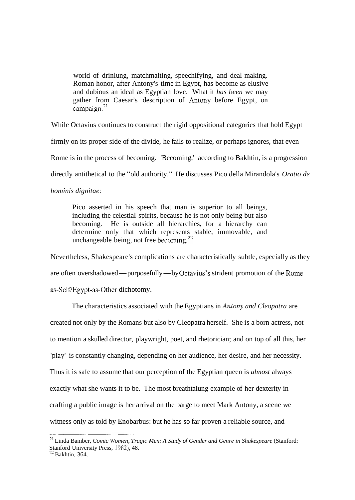world of drinlung, matchmalting, speechifying, and deal-making. Roman honor, after Antony's time in Egypt, has become as elusive and dubious an ideal as Egyptian love. What it *has been* we may gather from Caesar's description of Antony before Egypt, on campaign.<sup>21</sup>

While Octavius continues to construct the rigid oppositional categories that hold Egypt

firmly on its proper side of the divide, he fails to realize, or perhaps ignores, that even

Rome is in the process of becoming. 'Becoming,' according to Bakhtin, is a progression

directly antithetical to the "old authority." He discusses Pico della Mirandola's *Oratio de* 

*hominis dignitae:* 

Pico asserted in his speech that man is superior to all beings, including the celestial spirits, because he is not only being but also becoming. He is outside all hierarchies, for a hierarchy can determine only that which represents stable, immovable, and unchangeable being, not free becoming. $^{22}$ 

Nevertheless, Shakespeare's complications are characteristically subtle, especially as they are often overshadowed—purposefully—by Octavius's strident promotion of the Romeas-Self/Egypt-as-Other dichotomy.

The characteristics associated with the Egyptians in *Antony and Cleopatra* are created not only by the Romans but also by Cleopatra herself. She is a born actress, not to mention a skulled director, playwright, poet, and rhetorician; and on top of all this, her 'play' is constantly changing, depending on her audience, her desire, and her necessity. Thus it is safe to assume that our perception of the Egyptian queen is *almost* always exactly what she wants it to be. The most breathtalung example of her dexterity in crafting a public image is her arrival on the barge to meet Mark Antony, a scene we witness only as told by Enobarbus: but he has so far proven a reliable source, and

<sup>&</sup>lt;sup>21</sup> Linda Bamber, *Comic Women, Tragic Men: A Study of Gender and Genre in Shakespeare* (Stanford: Stanford University Press, 1982), 48.

*<sup>22</sup>* Bakhtin, 364.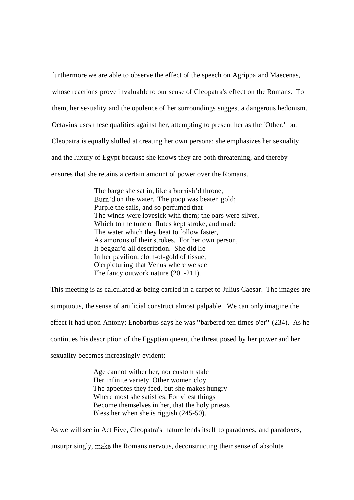furthermore we are able to observe the effect of the speech on Agrippa and Maecenas, whose reactions prove invaluable to our sense of Cleopatra's effect on the Romans. To them, her sexuality and the opulence of her surroundings suggest a dangerous hedonism. Octavius uses these qualities against her, attempting to present her as the 'Other,' but Cleopatra is equally slulled at creating her own persona: she emphasizes her sexuality and the luxury of Egypt because she knows they are both threatening, and thereby ensures that she retains a certain amount of power over the Romans.

> The barge she sat in, like a burnish'd throne, Burn'd on the water. The poop was beaten gold; Purple the sails, and so perfumed that The winds were lovesick with them; the oars were silver, Which to the tune of flutes kept stroke, and made The water which they beat to follow faster, As amorous of their strokes. For her own person, It beggar'd all description. She did lie In her pavilion, cloth-of-gold of tissue, O'erpicturing that Venus where we see The fancy outwork nature (201-211).

This meeting is as calculated as being carried in a carpet to Julius Caesar. The images are sumptuous, the sense of artificial construct almost palpable. We can only imagine the effect it had upon Antony: Enobarbus says he was "barbered ten times o'er" (234). As he continues his description of the Egyptian queen, the threat posed by her power and her sexuality becomes increasingly evident:

> Age cannot wither her, nor custom stale Her infinite variety. Other women cloy The appetites they feed, but she makes hungry Where most she satisfies. For vilest things Become themselves in her, that the holy priests Bless her when she is riggish (245-50).

As we will see in Act Five, Cleopatra's nature lends itself to paradoxes, and paradoxes, unsurprisingly, make the Romans nervous, deconstructing their sense of absolute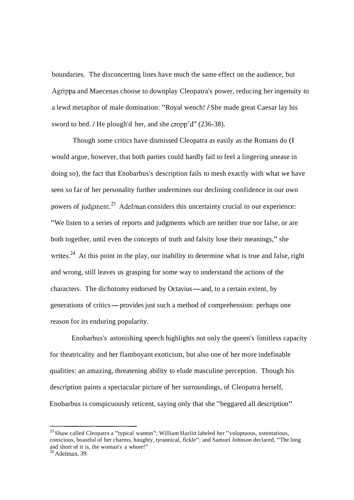boundaries. The disconcerting lines have much the same effect on the audience, but Agrippa and Maecenas choose to downplay Cleopatra's power, reducing her ingenuity to a lewd metaphor of male domination: "Royal wench! / She made great Caesar lay his sword to bed. / He plough'd her, and she cropp'd" (236-38).

Though some critics have dismissed Cleopatra as easily as the Romans do (I would argue, however, that both parties could hardly fail to feel a lingering unease in doing so), the fact that Enobarbus's description fails to mesh exactly with what we have seen so far of her personality further undermines our declining confidence in our own powers of judgment.<sup>23</sup> Adelman considers this uncertainty crucial to our experience: "We listen to a series of reports and judgments which are neither true nor false, or are both together, until even the concepts of truth and falsity lose their meanings," she writes.<sup>24</sup> At this point in the play, our inability to determine what is true and false, right and wrong, still leaves us grasping for some way to understand the actions of the characters. The dichotomy endorsed by Octavius—and, to a certain extent, by characters. The dichotomy endorsed by Octavius—and, to a certain extent, by<br>generations of critics—provides just such a method of comprehension: perhaps one reason for its enduring popularity.

Enobarbus's astonishing speech highlights not only the queen's limitless capacity for theatricality and her flamboyant exoticism, but also one of her more indefinable qualities: an amazing, threatening ability to elude masculine perception. Though his description paints a spectacular picture of her surroundings, of Cleopatra herself, Enobarbus is conspicuously reticent, saying only that she "beggared all description"

<sup>&</sup>lt;sup>23</sup> Shaw called Cleopatra a "typical wanton"; William Hazlitt labeled her "voluptuous, ostentatious, conscious, boastful of her charms, haughty, tyrannical, fickle"; and Samuel Johnson declared, "The long and short of it is, the woman's a whore!"

**<sup>24</sup>** Adelman, 39.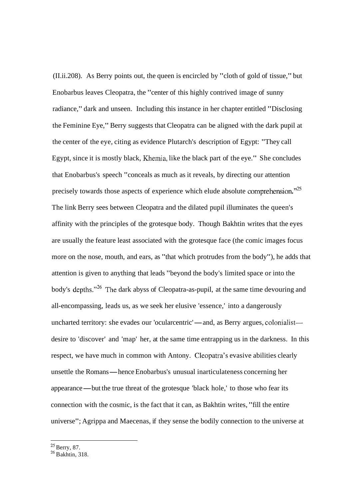(II.ii.208). As Berry points out, the queen is encircled by "cloth of gold of tissue," but Enobarbus leaves Cleopatra, the "center of this highly contrived image of sunny radiance," dark and unseen. Including this instance in her chapter entitled "Disclosing the Feminine Eye," Berry suggests that Cleopatra can be aligned with the dark pupil at the center of the eye, citing as evidence Plutarch's description of Egypt: "They call Egypt, since it is mostly black, Khemia, like the black part of the eye." She concludes that Enobarbus's speech "conceals as much as it reveals, by directing our attention precisely towards those aspects of experience which elude absolute comprehension.<sup>225</sup> The link Berry sees between Cleopatra and the dilated pupil illuminates the queen's affinity with the principles of the grotesque body. Though Bakhtin writes that the eyes are usually the feature least associated with the grotesque face (the comic images focus more on the nose, mouth, and ears, as "that which protrudes from the body"), he adds that attention is given to anything that leads "beyond the body's limited space or into the body's depths."<sup>26</sup> The dark abyss of Cleopatra-as-pupil, at the same time devouring and all-encompassing, leads us, as we seek her elusive 'essence,' into a dangerously uncharted territory: she evades our 'ocularcentric'—and, as Berry argues, colonialist desire to 'discover' and 'map' her, at the same time entrapping us in the darkness. In this respect, we have much in common with Antony. Cleopatra's evasive abilities clearly unsettle the Romans—hence Enobarbus's unusual inarticulateness concerning her unsettle the Romans—hence Enobarbus's unusual inarticulateness concerning her appearance—but the true threat of the grotesque 'black hole,' to those who fear its connection with the cosmic, is the fact that it can, as Bakhtin writes, "fill the entire universe"; Agrippa and Maecenas, if they sense the bodily connection to the universe at

 $^{25}$  Berry, 87.

 $26$  B akhtin, 318.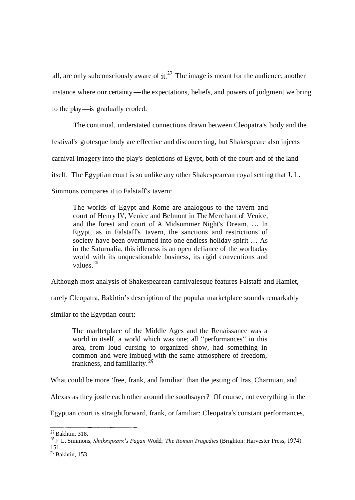all, are only subconsciously aware of it.<sup>27</sup> The image is meant for the audience, another instance where our certainty—the expectations, beliefs, and powers of judgment we bring to the play—is gradually eroded.

The continual, understated connections drawn between Cleopatra's body and the festival's grotesque body are effective and disconcerting, but Shakespeare also injects carnival imagery into the play's depictions of Egypt, both of the court and of the land itself. The Egyptian court is so unlike any other Shakespearean royal setting that J. L. Simmons compares it to Falstaff's tavern:

The worlds of Egypt and Rome are analogous to the tavern and court of Henry IV, Venice and Belmont in The Merchant of Venice, and the forest and court of A Midsummer Night's Dream. .. . In Egypt, as in Falstaff's tavern, the sanctions and restrictions of society have been overturned into one endless holiday spirit ... As in the Saturnalia, this idleness is an open defiance of the worltaday world with its unquestionable business, its rigid conventions and values  $^{28}$ 

Although most analysis of Shakespearean carnivalesque features Falstaff and Hamlet,

rarely Cleopatra, Bakhtin's description of the popular marketplace sounds remarkably

similar to the Egyptian court:

The marltetplace of the Middle Ages and the Renaissance was a world in itself, a world which was one; all "performances" in this area, from loud cursing to organized show, had something in common and were imbued with the same atmosphere of freedom, frankness, and familiarity. 29

What could be more 'free, frank, and familiar' than the jesting of Iras, Charmian, and

Alexas as they jostle each other around the soothsayer? Of course, not everything in the

Egyptian court is straightforward, frank, or familiar: Cleopatra's constant performances,

 $27$  Bakhtin, 318.

<sup>&</sup>lt;sup>28</sup> J. L. Simmons, *Shakespeare's Pagan World: The Roman Tragedies* (Brighton: Harvester Press, 1974), 151.

 $29$  Bakhtin, 153.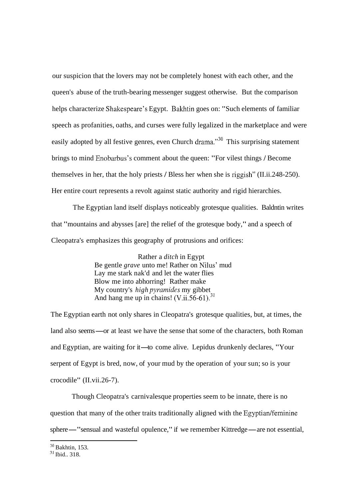our suspicion that the lovers may not be completely honest with each other, and the queen's abuse of the truth-bearing messenger suggest otherwise. But the comparison helps characterize Shakespeare's Egypt. Bakhtin goes on: "Such elements of familiar speech as profanities, oaths, and curses were fully legalized in the marketplace and were easily adopted by all festive genres, even Church drama."<sup>30</sup> This surprising statement brings to mind Enobarbus's comment about the queen: "For vilest things I Become themselves in her, that the holy priests 1 Bless her when she is riggish" (II.ii.248-250). Her entire court represents a revolt against static authority and rigid hierarchies.

The Egyptian land itself displays noticeably grotesque qualities. Baldntin writes that "mountains and abysses [are] the relief of the grotesque body," and a speech of Cleopatra's emphasizes this geography of protrusions and orifices:

> Rather a *ditch* in Egypt Be gentle *grave* unto me! Rather on Nilus' mud Lay me stark nak'd and let the water flies Blow me into abhorring! Rather make My country's *high pyuarnides* my gibbet And hang me up in chains! (V.ii.56-61).<sup>31</sup>

The Egyptian earth not only shares in Cleopatra's grotesque qualities, but, at times, the The Egyptian earth not only shares in Cleopatra's grotesque qualities, but, at times, the land also seems—or at least we have the sense that some of the characters, both Roman land also seems—or at least we have the sense that some of the characters, both Rom<br>and Egyptian, are waiting for it—to come alive. Lepidus drunkenly declares, "Your serpent of Egypt is bred, now, of your mud by the operation of your sun; so is your crocodile" (II.vii.26-7).

Though Cleopatra's carnivalesque properties seem to be innate, there is no question that many of the other traits traditionally aligned with the Egyptian/feminine sphere — "sensual and wasteful opulence," if we remember Kittredge — are not essential,

 $30$  Bakhtin, 153.

 $31$  Ibid.. 318.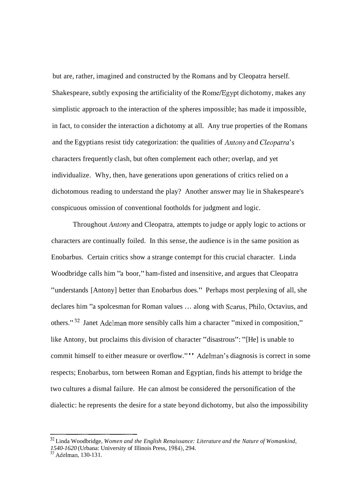but are, rather, imagined and constructed by the Romans and by Cleopatra herself. Shakespeare, subtly exposing the artificiality of the Rome/Egypt dichotomy, makes any simplistic approach to the interaction of the spheres impossible; has made it impossible, in fact, to consider the interaction a dichotomy at all. Any true properties of the Romans and the Egyptians resist tidy categorization: the qualities of *Antony* and *Cleopatra's* characters frequently clash, but often complement each other; overlap, and yet individualize. Why, then, have generations upon generations of critics relied on a dichotomous reading to understand the play? Another answer may lie in Shakespeare's conspicuous omission of conventional footholds for judgment and logic.

Throughout Antony and Cleopatra, attempts to judge or apply logic to actions or characters are continually foiled. In this sense, the audience is in the same position as Enobarbus. Certain critics show a strange contempt for this crucial character. Linda Woodbridge calls him "a boor," ham-fisted and insensitive, and argues that Cleopatra "understands [Antony] better than Enobarbus does." Perhaps most perplexing of all, she declares him "a spolcesman for Roman values ... along with Scarus, Philo, Octavius, and others." 32 Janet Adelman more sensibly calls him a character "mixed in composition," like Antony, but proclaims this division of character "disastrous": "[He] is unable to commit himself to either measure or overflow."" Adelman's diagnosis is correct in some respects; Enobarbus, torn between Roman and Egyptian, finds his attempt to bridge the two cultures a dismal failure. He can almost be considered the personification of the dialectic: he represents the desire for a state beyond dichotomy, but also the impossibility

<sup>32</sup> Linda Woodbridge, *Women and the English Renaissance: Literature and the Nature of Womankind, 1540-1620* (Urbana: University of Illinois Press, 1984), 294.

<sup>&</sup>lt;sup>33</sup> Adelman, 130-131.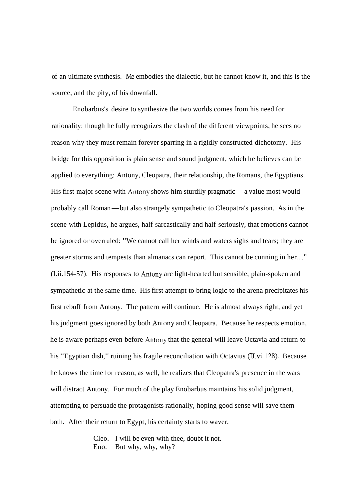of an ultimate synthesis. Me embodies the dialectic, but he cannot know it, and this is the source, and the pity, of his downfall.

Enobarbus's desire to synthesize the two worlds comes from his need for rationality: though he fully recognizes the clash of the different viewpoints, he sees no reason why they must remain forever sparring in a rigidly constructed dichotomy. His bridge for this opposition is plain sense and sound judgment, which he believes can be applied to everything: Antony, Cleopatra, their relationship, the Romans, the Egyptians. applied to everything: Antony, Cleopatra, their relationship, the Romans, the Egyptians<br>His first major scene with Antony shows him sturdily pragmatic—a value most would His first major scene with Antony shows him sturdily pragmatic—a value most would<br>probably call Roman—but also strangely sympathetic to Cleopatra's passion. As in the scene with Lepidus, he argues, half-sarcastically and half-seriously, that emotions cannot be ignored or overruled: "We cannot call her winds and waters sighs and tears; they are greater storms and tempests than almanacs can report. This cannot be cunning in her..." (I.ii.154-57). His responses to Antony are light-hearted but sensible, plain-spoken and sympathetic at the same time. His first attempt to bring logic to the arena precipitates his first rebuff from Antony. The pattern will continue. He is almost always right, and yet his judgment goes ignored by both Antony and Cleopatra. Because he respects emotion, he is aware perhaps even before Antony that the general will leave Octavia and return to his "Egyptian dish," ruining his fragile reconciliation with Octavius (II.vi.128). Because he knows the time for reason, as well, he realizes that Cleopatra's presence in the wars will distract Antony. For much of the play Enobarbus maintains his solid judgment, attempting to persuade the protagonists rationally, hoping good sense will save them both. After their return to Egypt, his certainty starts to waver.

> Cleo. I will be even with thee, doubt it not. Eno. But why, why, why?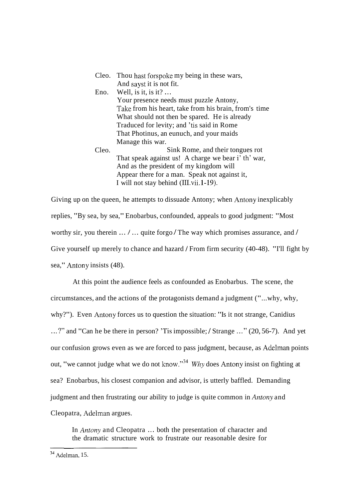|      | Cleo. Thou hast forspoke my being in these wars, |
|------|--------------------------------------------------|
|      | And sayst it is not fit.                         |
| Eno. | Well, is it, is it? $\ldots$                     |

- Your presence needs must puzzle Antony, Take from his heart, take from his brain, from's time What should not then be spared. He is already Traduced for levity; and 'tis said in Rome That Photinus, an eunuch, and your maids Manage this war.
- Cleo. Sink Rome, and their tongues rot That speak against us! A charge we bear i' th' war, And as the president of my kingdom will Appear there for a man. Speak not against it, I will not stay behind (1II.vii.l-19).

Giving up on the queen, he attempts to dissuade Antony; when Antony inexplicably replies, "By sea, by sea," Enobarbus, confounded, appeals to good judgment: "Most worthy sir, you therein  $\dots/$   $\dots$  quite forgo / The way which promises assurance, and / Give yourself up merely to chance and hazard / From firm security (40-48). "I'll fight by sea," Antony insists (48).

At this point the audience feels as confounded as Enobarbus. The scene, the circumstances, and the actions of the protagonists demand a judgment ("...why, why, why?"). Even Antony forces us to question the situation: "Is it not strange, Canidius ...?" and "Can he be there in person? 'Tis impossible; / Strange ..." (20, 56-7). And yet our confusion grows even as we are forced to pass judgment, because, as Adelman points out, "we cannot judge what we do not know."<sup>34</sup> Why does Antony insist on fighting at sea? Enobarbus, his closest companion and advisor, is utterly baffled. Demanding judgment and then frustrating our ability to judge is quite common in Antony and Cleopatra, Adelman argues.

In *Antony* and Cleopatra ... both the presentation of character and the dramatic structure work to frustrate our reasonable desire for

<sup>--</sup>  **34** Adelrnan, 15.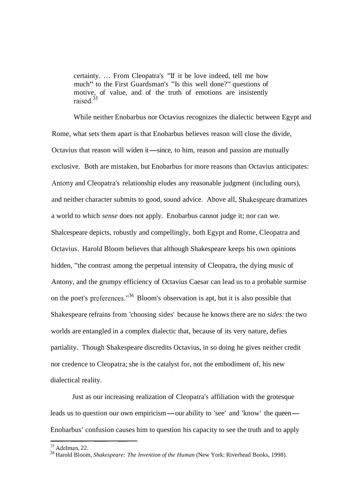certainty. ... From Cleopatra's "If it be love indeed, tell me how much" to the First Guardsman's "Is this well done?" questions of motive, of value, and of the truth of emotions are insistently raised.<sup>35</sup>

While neither Enobarbus nor Octavius recognizes the dialectic between Egypt and Rome, what sets them apart is that Enobarbus believes reason will close the divide, Octavius that reason will widen it—since, to him, reason and passion are mutually exclusive. Both are mistaken, but Enobarbus for more reasons than Octavius anticipates: Antony and Cleopatra's relationship eludes any reasonable judgment (including ours), and neither character submits to good, sound advice. Above all, Shaltespeare dramatizes a world to which *sense* does not apply. Enobarbus cannot judge it; nor can we. Shalcespeare depicts, robustly and compellingly, both Egypt and Rome, Cleopatra and Octavius. Harold Bloom believes that although Shakespeare keeps his own opinions hidden, "the contrast among the perpetual intensity of Cleopatra, the dying music of Antony, and the grumpy efficiency of Octavius Caesar can lead us to a probable surmise on the poet's preferences."3G Bloom's observation is apt, but it is also possible that Shakespeare refrains from 'choosing sides' because he knows there are no *sides:* the two worlds are entangled in a complex dialectic that, because of its very nature, defies partiality. Though Shakespeare discredits Octavius, in so doing he gives neither credit nor credence to Cleopatra; she is the catalyst for, not the embodiment of, his new dialectical reality.

Just as our increasing realization of Cleopatra's affiliation with the grotesque leads us to question our own empiricism-our ability to 'see' and 'know' the queen-Enobarbus' confusion causes him to question his capacity to see the truth and to apply

<sup>35</sup> Adelman, 22.

<sup>36</sup> Harold Bloom, *Shakespeare: The Invention of the Human* (New York: Riverhead Books, 1998).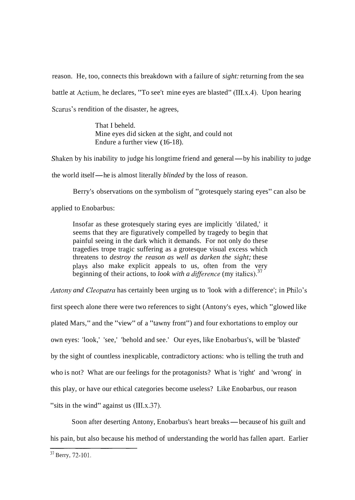reason. He, too, connects this breakdown with a failure of *sight:* returning from the sea battle at Actium, he declares, "To see't mine eyes are blasted" (III.x.4). Upon hearing Scarus's rendition of the disaster, he agrees,

> That I beheld. Mine eyes did sicken at the sight, and could not Endure a further view (16-18).

Shaken by his inability to judge his longtime friend and general—by his inability to judge

the world itself-he is almost literally *blinded* by the loss of reason.

Berry's observations on the symbolism of "grotesquely staring eyes" can also be

applied to Enobarbus:

Insofar as these grotesquely staring eyes are implicitly 'dilated,' it seems that they are figuratively compelled by tragedy to begin that painful seeing in the dark which it demands. For not only do these tragedies trope tragic suffering as a grotesque visual excess which threatens to *destroy the reason as well as darken the sight;* these plays also make explicit appeals to us, often from the very beginning of their actions, to *look with a difference* (my italics).<sup>37</sup>

*Antony and Cleopatra* has certainly been urging us to 'look with a difference'; in Philo's first speech alone there were two references to sight (Antony's eyes, which "glowed like plated Mars," and the "view" of a "tawny front") and four exhortations to employ our own eyes: 'look,' 'see,' 'behold and see.' Our eyes, like Enobarbus's, will be 'blasted' by the sight of countless inexplicable, contradictory actions: who is telling the truth and who is not? What are our feelings for the protagonists? What is 'right' and 'wrong' in this play, or have our ethical categories become useless? Like Enobarbus, our reason "sits in the wind" against us (III.x.37).

Soon after deserting Antony, Enobarbus's heart breaks — because of his guilt and his pain, but also because his method of understanding the world has fallen apart. Earlier

<sup>37</sup> Berry, 72-101.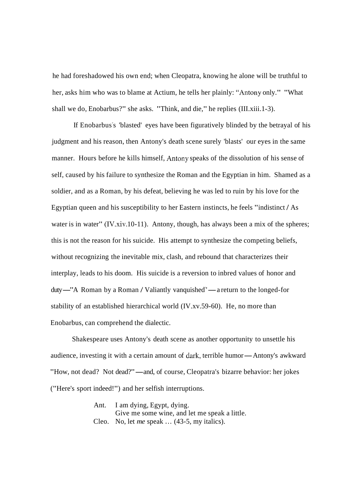he had foreshadowed his own end; when Cleopatra, knowing he alone will be truthful to her, asks him who was to blame at Actium, he tells her plainly: "Antony only." "What shall we do, Enobarbus?" she asks. "Think, and die," he replies (III.xiii.1-3).

If Enobarbus's 'blasted' eyes have been figuratively blinded by the betrayal of his judgment and his reason, then Antony's death scene surely 'blasts' our eyes in the same manner. Hours before he kills himself, Antony speaks of the dissolution of his sense of self, caused by his failure to synthesize the Roman and the Egyptian in him. Shamed as a soldier, and as a Roman, by his defeat, believing he was led to ruin by his love for the Egyptian queen and his susceptibility to her Eastern instincts, he feels "indistinct / As water is in water" (IV.xiv.10-11). Antony, though, has always been a mix of the spheres; this is not the reason for his suicide. His attempt to synthesize the competing beliefs, without recognizing the inevitable mix, clash, and rebound that characterizes their interplay, leads to his doom. His suicide is a reversion to inbred values of honor and duty—"A Roman by a Roman / Valiantly vanquished"— a return to the longed-for duty—"A Roman by a Roman / Valiantly vanquished"—a return to the longed-for stability of an established hierarchical world (IV.xv.59-60). He, no more than Enobarbus, can comprehend the dialectic.

Shakespeare uses Antony's death scene as another opportunity to unsettle his audience, investing it with a certain amount of dark, terrible humor—Antony's awkward "How, not dead? Not dead?"—and, of course, Cleopatra's bizarre behavior: her jokes ("Here's sport indeed!") and her selfish interruptions.

> Ant. I am dying, Egypt, dying. Give me some wine, and let me speak a little. Cleo. No, let *me* speak  $\ldots$  (43-5, my italics).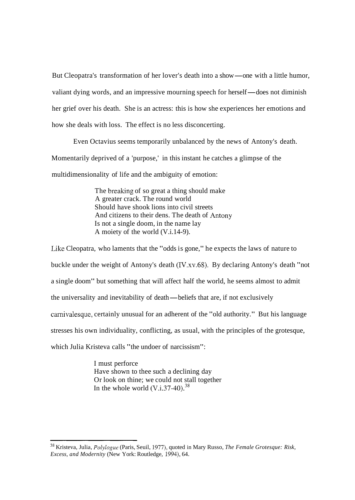But Cleopatra's transformation of her lover's death into a show—one with a little humor, valiant dying words, and an impressive mourning speech for herself—does not diminish her grief over his death. She is an actress: this is how she experiences her emotions and how she deals with loss. The effect is no less disconcerting.

Even Octavius seems temporarily unbalanced by the news of Antony's death. Momentarily deprived of a 'purpose,' in this instant he catches a glimpse of the multidimensionality of life and the ambiguity of emotion:

> The breaking of so great a thing should make A greater crack. The round world Should have shook lions into civil streets And citizens to their dens. The death of Antony Is not a single doom, in the name lay A moiety of the world (V.i.14-9).

Like Cleopatra, who laments that the "odds is gone," he expects the laws of nature to buckle under the weight of Antony's death (IV.xv.68). By declaring Antony's death "not a single doom" but something that will affect half the world, he seems almost to admit the universality and inevitability of death-beliefs that are, if not exclusively carnivalesque, certainly unusual for an adherent of the "old authority." But his language stresses his own individuality, conflicting, as usual, with the principles of the grotesque, which Julia Kristeva calls "the undoer of narcissism":

> I must perforce Have shown to thee such a declining day Or look on thine; we could not stall together In the whole world  $(V.i.37-40).^{38}$

<sup>38</sup> Kristeva, Julia, *Polylogue* (Paris, Seuil, 1977), quoted in Mary Russo, *The Female Grotesque: Risk, Excess, and Modernity* (New York: Routledge, 1994), 64.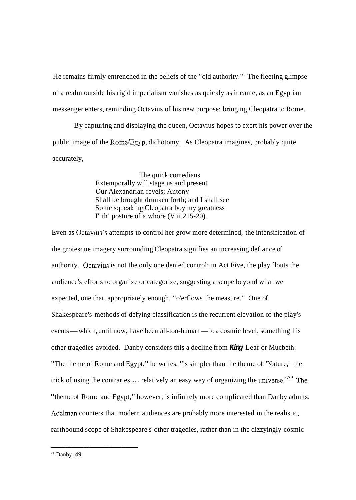He remains firmly entrenched in the beliefs of the "old authority." The fleeting glimpse of a realm outside his rigid imperialism vanishes as quickly as it came, as an Egyptian messenger enters, reminding Octavius of his new purpose: bringing Cleopatra to Rome.

By capturing and displaying the queen, Octavius hopes to exert his power over the public image of the Rome/Egypt dichotomy. As Cleopatra imagines, probably quite accurately,

> The quick comedians Extemporally will stage us and present Our Alexandrian revels; Antony Shall be brought drunken forth; and I shall see Some squeaking Cleopatra boy my greatness I' th' posture of a whore (V.ii.215-20).

Even as Octavius's attempts to control her grow more determined, the intensification of the grotesque imagery surrounding Cleopatra signifies an increasing defiance of authority. Octavius is not the only one denied control: in Act Five, the play flouts the audience's efforts to organize or categorize, suggesting a scope beyond what we expected, one that, appropriately enough, "o'erflows the measure." One of Shakespeare's methods of defying classification is the recurrent elevation of the play's events — which, until now, have been all-too-human — to a cosmic level, something his other tragedies avoided. Danby considers this a decline from **King** Lear or Mucbeth: "The theme of Rome and Egypt," he writes, "is simpler than the theme of 'Nature,' the trick of using the contraries  $\ldots$  relatively an easy way of organizing the universe."<sup>39</sup> The "theme of Rome and Egypt," however, is infinitely more complicated than Danby admits. Adelman counters that modern audiences are probably more interested in the realistic, earthbound scope of Shakespeare's other tragedies, rather than in the dizzyingly cosmic

 $39$  Danby, 49.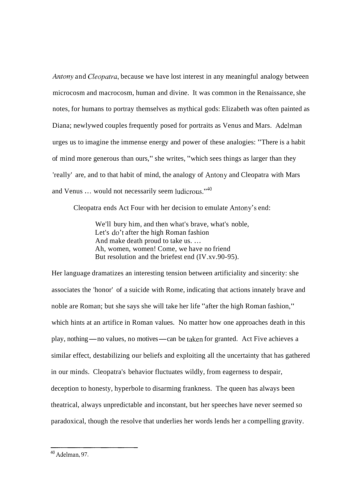Antony and *Cleopatra*, because we have lost interest in any meaningful analogy between microcosm and macrocosm, human and divine. It was common in the Renaissance, she notes, for humans to portray themselves as mythical gods: Elizabeth was often painted as Diana; newlywed couples frequently posed for portraits as Venus and Mars. Adelman urges us to imagine the immense energy and power of these analogies: "There is a habit of mind more generous than ours," she writes, "which sees things as larger than they 'really' are, and to that habit of mind, the analogy of Antony and Cleopatra with Mars and Venus  $\dots$  would not necessarily seem ludicrous."<sup>40</sup>

Cleopatra ends Act Four with her decision to emulate Antony's end:

We'll bury him, and then what's brave, what's noble, Let's do't after the high Roman fashion And make death proud to take us. ... Ah, women, women! Come, we have no friend But resolution and the briefest end (IV.xv.90-95).

Her language dramatizes an interesting tension between artificiality and sincerity: she associates the 'honor' of a suicide with Rome, indicating that actions innately brave and noble are Roman; but she says she will take her life "after the high Roman fashion," which hints at an artifice in Roman values. No matter how one approaches death in this play, nothing-no values, no motives-can be talcen for granted. Act Five achieves a similar effect, destabilizing our beliefs and exploiting all the uncertainty that has gathered in our minds. Cleopatra's behavior fluctuates wildly, from eagerness to despair, deception to honesty, hyperbole to disarming frankness. The queen has always been theatrical, always unpredictable and inconstant, but her speeches have never seemed so paradoxical, though the resolve that underlies her words lends her a compelling gravity.

<sup>40</sup> Adelman, 97.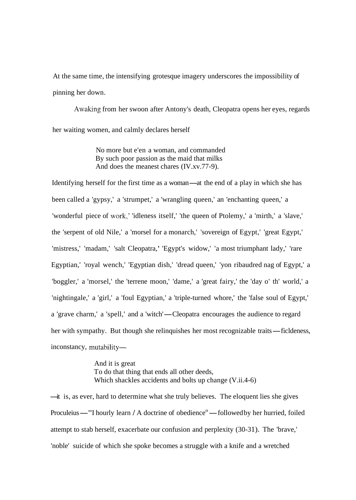At the same time, the intensifying grotesque imagery underscores the impossibility of pinning her down.

Awaking from her swoon after Antony's death, Cleopatra opens her eyes, regards her waiting women, and calmly declares herself

> No more but e'en a woman, and commanded By such poor passion as the maid that milks And does the meanest chares (IV.xv.77-9).

Identifying herself for the first time as a woman—at the end of a play in which she has been called a 'gypsy,' a 'strumpet,' a 'wrangling queen,' an 'enchanting queen,' a 'wonderful piece of work,' 'idleness itself,' 'the queen of Ptolemy,' a 'mirth,' a 'slave,' the 'serpent of old Nile,' a 'morsel for a monarch,' 'sovereign of Egypt,' 'great Egypt,' 'mistress,' 'madam,' 'salt Cleopatra,' 'Egypt's widow,' 'a most triumphant lady,' 'rare Egyptian,' 'royal wench,' 'Egyptian dish,' 'dread queen,' 'yon ribaudred nag of Egypt,' a 'boggler,' a 'morsel,' the 'terrene moon,' 'dame,' a 'great fairy,' the 'day o' th' world,' a 'nightingale,' a 'girl,' a 'foul Egyptian,' a 'triple-turned whore,' the 'false soul of Egypt,' a 'grave charm,' a 'spell,' and a 'witch'—Cleopatra encourages the audience to regard her with sympathy. But though she relinquishes her most recognizable traits—ficldeness, inconstancy, mutability-

> And it is great To do that thing that ends all other deeds, Which shackles accidents and bolts up change (V.ii.4-6)

-it is, as ever, hard to determine what she truly believes. The eloquent lies she gives —it is, as ever, hard to determine what she truly believes. The eloquent lies she gives<br>Proculeius—"I hourly learn / A doctrine of obedience<sup>n</sup>—followed by her hurried, foiled attempt to stab herself, exacerbate our confusion and perplexity (30-31). The 'brave,' 'noble' suicide of which she spoke becomes a struggle with a knife and a wretched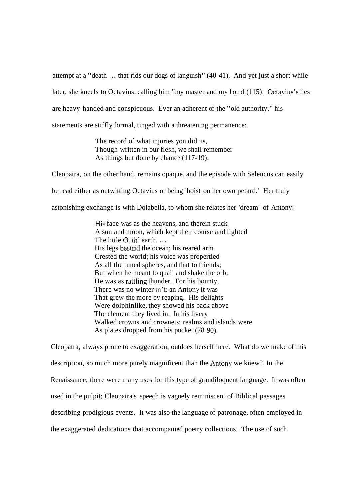attempt at a "death ... that rids our dogs of languish" (40-41). And yet just a short while later, she kneels to Octavius, calling him "my master and my lord (115). Octavius's lies are heavy-handed and conspicuous. Ever an adherent of the "old authority," his statements are stiffly formal, tinged with a threatening permanence:

> The record of what injuries you did us, Though written in our flesh, we shall remember As things but done by chance (117-19).

Cleopatra, on the other hand, remains opaque, and the episode with Seleucus can easily be read either as outwitting Octavius or being 'hoist on her own petard.' Her truly

astonishing exchange is with Dolabella, to whom she relates her 'dream' of Antony:

His face was as the heavens, and therein stuck A sun and moon, which kept their course and lighted The little O, th' earth. ... His legs bestrid the ocean; his reared arm Crested the world; his voice was propertied As all the tuned spheres, and that to friends; But when he meant to quail and shake the orb, He was as rattling thunder. For his bounty, There was no winter in't: an Antony it was That grew the more by reaping. His delights Were dolphinlike, they showed his back above The element they lived in. In his livery Walked crowns and crownets; realms and islands were As plates dropped from his pocket (78-90).

Cleopatra, always prone to exaggeration, outdoes herself here. What do we make of this description, so much more purely magnificent than the Antony we knew? In the Renaissance, there were many uses for this type of grandiloquent language. It was often used in the pulpit; Cleopatra's speech is vaguely reminiscent of Biblical passages describing prodigious events. It was also the language of patronage, often employed in the exaggerated dedications that accompanied poetry collections. The use of such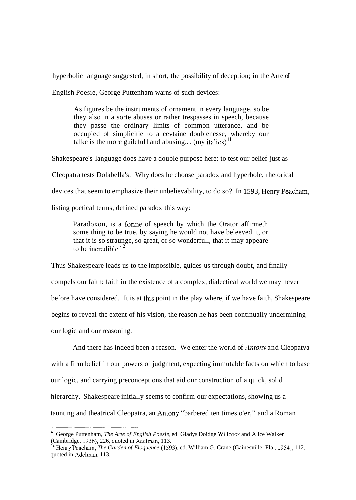hyperbolic language suggested, in short, the possibility of deception; in the Arte of

English Poesie, George Puttenham warns of such devices:

As figures be the instruments of ornament in every language, so be they also in a sorte abuses or rather trespasses in speech, because they passe the ordinary limits of common utterance, and be occupied of simplicitie to a cevtaine doublenesse, whereby our talke is the more guilefull and abusing... (my italics)<sup>41</sup>

Shakespeare's language does have a double purpose here: to test our belief just as

Cleopatra tests Dolabella's. Why does he choose paradox and hyperbole, rhetorical

devices that seem to emphasize their unbelievability, to do so? In 1593, Henry Peacham,

listing poetical terms, defined paradox this way:

Paradoxon, is a forme of speech by which the Orator affirmeth some thing to be true, by saying he would not have beleeved it, or that it is so straunge, so great, or so wonderfull, that it may appeare to be incredible  $42^{\degree}$ 

Thus Shakespeare leads us to the impossible, guides us through doubt, and finally compels our faith: faith in the existence of a complex, dialectical world we may never before have considered. It is at this point in the play where, if we have faith, Shakespeare begins to reveal the extent of his vision, the reason he has been continually undermining our logic and our reasoning.

And there has indeed been a reason. We enter the world of Antony and Cleopatva with a firm belief in our powers of judgment, expecting immutable facts on which to base our logic, and carrying preconceptions that aid our construction of a quick, solid hierarchy. Shakespeare initially seems to confirm our expectations, showing us a taunting and theatrical Cleopatra, an Antony "barbered ten times o'er," and a Roman

<sup>41</sup>George Puttenham, *The Arte of English Poesie,* ed. Gladys Doidge Willcock and Alice Walker (Cambridge, 1936), 226, quoted in Adelman, 113.

**<sup>42</sup>**Henry Peacham, *The Garden of Eloquence* (1593), ed. William G. Crane (Gainesville, Fla., 1954), 112, quoted in Adelman, 113.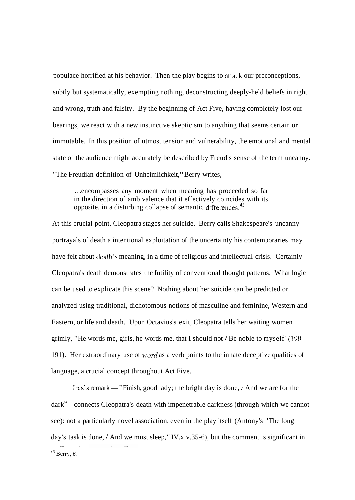populace horrified at his behavior. Then the play begins to attack our preconceptions, subtly but systematically, exempting nothing, deconstructing deeply-held beliefs in right and wrong, truth and falsity. By the beginning of Act Five, having completely lost our bearings, we react with a new instinctive skepticism to anything that seems certain or immutable. In this position of utmost tension and vulnerability, the emotional and mental state of the audience might accurately be described by Freud's sense of the term uncanny. "The Freudian definition of Unheimlichkeit," Berry writes,

... encompasses any moment when meaning has proceeded so far in the direction of ambivalence that it effectively coincides with its opposite, in a disturbing collapse of semantic differences. $43$ 

At this crucial point, Cleopatra stages her suicide. Berry calls Shakespeare's uncanny portrayals of death a intentional exploitation of the uncertainty his contemporaries may have felt about death's meaning, in a time of religious and intellectual crisis. Certainly Cleopatra's death demonstrates the futility of conventional thought patterns. What logic can be used to explicate this scene? Nothing about her suicide can be predicted or analyzed using traditional, dichotomous notions of masculine and feminine, Western and Eastern, or life and death. Upon Octavius's exit, Cleopatra tells her waiting women grimly, "He words me, girls, he words me, that I should not / Be noble to myself' (190- 191). Her extraordinary use of *word* as a verb points to the innate deceptive qualities of language, a crucial concept throughout Act Five.

Iras's remark-"Finish, good lady; the bright day is done, / And we are for the dark<sup>"</sup>--connects Cleopatra's death with impenetrable darkness (through which we cannot see): not a particularly novel association, even in the play itself (Antony's "The long day's task is done, / And we must sleep," IV.xiv.35-6), but the comment is significant in

**43** Berry, *6.*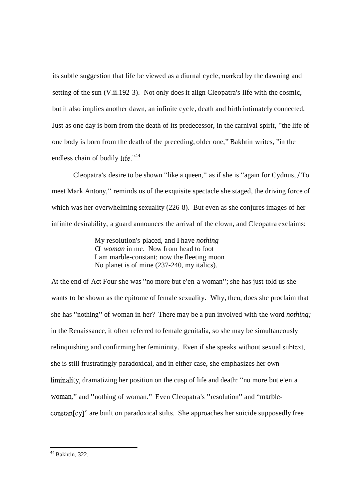its subtle suggestion that life be viewed as a diurnal cycle, marked by the dawning and setting of the sun (V.ii.192-3). Not only does it align Cleopatra's life with the cosmic, but it also implies another dawn, an infinite cycle, death and birth intimately connected. Just as one day is born from the death of its predecessor, in the carnival spirit, "the life of one body is born from the death of the preceding, older one," Bakhtin writes, "in the endless chain of bodily life."<sup>44</sup>

Cleopatra's desire to be shown "like a queen," as if she is "again for Cydnus, / To meet Mark Antony," reminds us of the exquisite spectacle she staged, the driving force of which was her overwhelming sexuality (226-8). But even as she conjures images of her infinite desirability, a guard announces the arrival of the clown, and Cleopatra exclaims:

> My resolution's placed, and I have *nothing*  Of *woman* in me. Now from head to foot I am marble-constant; now the fleeting moon No planet is of mine (237-240, my italics).

At the end of Act Four she was "no more but e'en a woman"; she has just told us she wants to be shown as the epitome of female sexuality. Why, then, does she proclaim that she has "nothing" of woman in her? There may be a pun involved with the word *nothing;*  in the Renaissance, it often referred to female genitalia, so she may be simultaneously relinquishing and confirming her femininity. Even if she speaks without sexual subtext, she is still frustratingly paradoxical, and in either case, she emphasizes her own liminality, dramatizing her position on the cusp of life and death: "no more but e'en a woman," and "nothing of woman." Even Cleopatra's "resolution" and "marbleconstan[cy]" are built on paradoxical stilts. She approaches her suicide supposedly free

**<sup>44</sup>** Bakhtin, 322.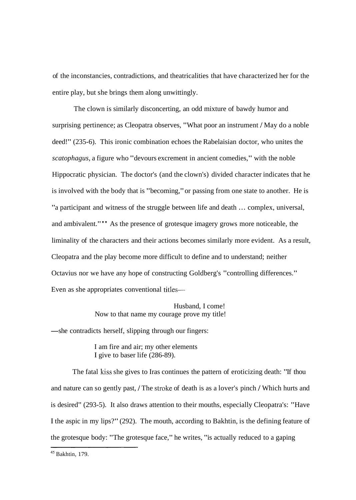of the inconstancies, contradictions, and theatricalities that have characterized her for the entire play, but she brings them along unwittingly.

The clown is similarly disconcerting, an odd mixture of bawdy humor and surprising pertinence; as Cleopatra observes, "What poor an instrument / May do a noble deed!" (235-6). This ironic combination echoes the Rabelaisian doctor, who unites the *scatophagus,* a figure who "devours excrement in ancient comedies," with the noble Hippocratic physician. The doctor's (and the clown's) divided character indicates that he is involved with the body that is "becoming," or passing from one state to another. He is "a participant and witness of the struggle between life and death . . . complex, universal, and ambivalent."" As the presence of grotesque imagery grows more noticeable, the liminality of the characters and their actions becomes similarly more evident. As a result, Cleopatra and the play become more difficult to define and to understand; neither Octavius nor we have any hope of constructing Goldberg's "controlling differences." Even as she appropriates conventional titles—

> Husband, I come! Now to that name my courage prove my title!

-she contradicts herself, slipping through our fingers:

I am fire and air; my other elements I give to baser life (286-89).

The fatal kiss she gives to Iras continues the pattern of eroticizing death: "If thou and nature can so gently past, / The stroke of death is as a lover's pinch 1 Which hurts and is desired" (293-5). It also draws attention to their mouths, especially Cleopatra's: "Have I the aspic in my lips?" (292). The mouth, according to Bakhtin, is the defining feature of the grotesque body: "The grotesque face," he writes, "is actually reduced to a gaping

**<sup>45</sup>** Bakhtin, 179.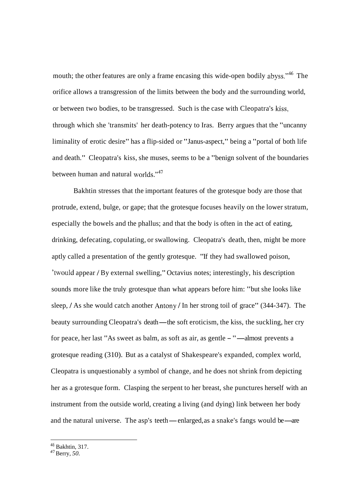mouth; the other features are only a frame encasing this wide-open bodily abyss."<sup>46</sup> The orifice allows a transgression of the limits between the body and the surrounding world, or between two bodies, to be transgressed. Such is the case with Cleopatra's kiss, through which she 'transmits' her death-potency to Iras. Berry argues that the "uncanny liminality of erotic desire" has a flip-sided or "Janus-aspect," being a "portal of both life and death." Cleopatra's kiss, she muses, seems to be a "benign solvent of the boundaries between human and natural worlds."<sup>47</sup>

Bakhtin stresses that the important features of the grotesque body are those that protrude, extend, bulge, or gape; that the grotesque focuses heavily on the lower stratum, especially the bowels and the phallus; and that the body is often in the act of eating, drinking, defecating, copulating, or swallowing. Cleopatra's death, then, might be more aptly called a presentation of the gently grotesque. "If they had swallowed poison, 'twould appear / By external swelling," Octavius notes; interestingly, his description sounds more like the truly grotesque than what appears before him: "but she looks like sleep, / As she would catch another Antony / In her strong toil of grace" (344-347). The sleep, / As she would catch another Antony / In her strong toil of grace" (344-347). The<br>beauty surrounding Cleopatra's death—the soft eroticism, the kiss, the suckling, her cry beauty surrounding Cleopatra's death—the soft eroticism, the kiss, the suckling, her<br>for peace, her last "As sweet as balm, as soft as air, as gentle - "—almost prevents a grotesque reading (310). But as a catalyst of Shakespeare's expanded, complex world, Cleopatra is unquestionably a symbol of change, and he does not shrink from depicting her as a grotesque form. Clasping the serpent to her breast, she punctures herself with an instrument from the outside world, creating a living (and dying) link between her body and the natural universe. The asp's teeth—enlarged, as a snake's fangs would be—are

**<sup>46</sup>**Bakhtin, 3 17.

<sup>47</sup> Berry, *50.*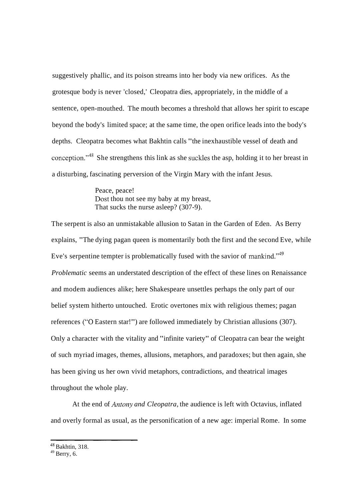suggestively phallic, and its poison streams into her body via new orifices. As the grotesque body is never 'closed,' Cleopatra dies, appropriately, in the middle of a sentence, open-mouthed. The mouth becomes a threshold that allows her spirit to escape beyond the body's limited space; at the same time, the open orifice leads into the body's depths. Cleopatra becomes what Bakhtin calls "the inexhaustible vessel of death and conception."<sup>48</sup> She strengthens this link as she suckles the asp, holding it to her breast in a disturbing, fascinating perversion of the Virgin Mary with the infant Jesus.

> Peace, peace! Dost thou not see my baby at my breast, That sucks the nurse asleep? (307-9).

The serpent is also an unmistakable allusion to Satan in the Garden of Eden. As Berry explains, "The dying pagan queen is momentarily both the first and the second Eve, while Eve's serpentine tempter is problematically fused with the savior of mankind." $49$ *Problematic* seems an understated description of the effect of these lines on Renaissance and modem audiences alike; here Shakespeare unsettles perhaps the only part of our belief system hitherto untouched. Erotic overtones mix with religious themes; pagan references ("0 Eastern star!") are followed immediately by Christian allusions (307). Only a character with the vitality and "infinite variety" of Cleopatra can bear the weight of such myriad images, themes, allusions, metaphors, and paradoxes; but then again, she has been giving us her own vivid metaphors, contradictions, and theatrical images throughout the whole play.

At the end of *Antony and Cleopatra,* the audience is left with Octavius, inflated and overly formal as usual, as the personification of a new age: imperial Rome. In some

 $48$  Bakhtin, 318.

 $49$  Berry, 6.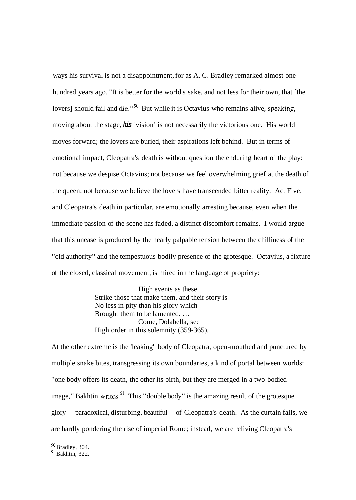ways his survival is not a disappointment, for as A. C. Bradley remarked almost one hundred years ago, "It is better for the world's sake, and not less for their own, that [the lovers] should fail and die."<sup>50</sup> But while it is Octavius who remains alive, speaking, moving about the stage, **his** 'vision' is not necessarily the victorious one. His world moves forward; the lovers are buried, their aspirations left behind. But in terms of emotional impact, Cleopatra's death is without question the enduring heart of the play: not because we despise Octavius; not because we feel overwhelming grief at the death of the queen; not because we believe the lovers have transcended bitter reality. Act Five, and Cleopatra's death in particular, are emotionally arresting because, even when the immediate passion of the scene has faded, a distinct discomfort remains. I would argue that this unease is produced by the nearly palpable tension between the chilliness of the "old authority" and the tempestuous bodily presence of the grotesque. Octavius, a fixture of the closed, classical movement, is mired in the language of propriety:

> High events as these Strike those that make them, and their story is No less in pity than his glory which Brought them to be lamented. ... Come, Dolabella, see High order in this solemnity (359-365).

At the other extreme is the 'leaking' body of Cleopatra, open-mouthed and punctured by multiple snake bites, transgressing its own boundaries, a kind of portal between worlds: "one body offers its death, the other its birth, but they are merged in a two-bodied image," Bakhtin writes.<sup>51</sup> This "double body" is the amazing result of the grotesque glory-paradoxical, disturbing, beautiful-of Cleopatra's death. As the curtain falls, we are hardly pondering the rise of imperial Rome; instead, we are reliving Cleopatra's

<sup>&</sup>lt;sup>50</sup> Bradley, 304.

 $51$  Bakhtin, 322.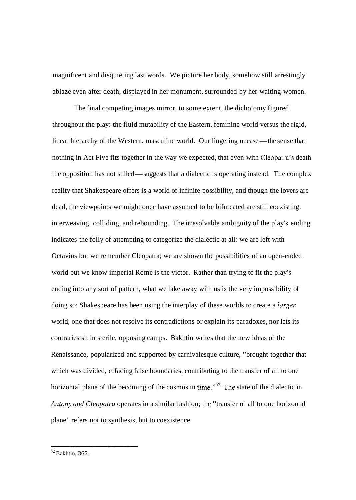magnificent and disquieting last words. We picture her body, somehow still arrestingly ablaze even after death, displayed in her monument, surrounded by her waiting-women.

The final competing images mirror, to some extent, the dichotomy figured throughout the play: the fluid mutability of the Eastern, feminine world versus the rigid, linear hierarchy of the Western, masculine world. Our lingering unease—the sense that nothing in Act Five fits together in the way we expected, that even with Cleopatra's death the opposition has not stilled—suggests that a dialectic is operating instead. The complex reality that Shakespeare offers is a world of infinite possibility, and though the lovers are dead, the viewpoints we might once have assumed to be bifurcated are still coexisting, interweaving, colliding, and rebounding. The irresolvable ambiguity of the play's ending indicates the folly of attempting to categorize the dialectic at all: we are left with Octavius but we remember Cleopatra; we are shown the possibilities of an open-ended world but we know imperial Rome is the victor. Rather than trying to fit the play's ending into any sort of pattern, what we take away with us is the very impossibility of doing so: Shakespeare has been using the interplay of these worlds to create a *larger*  world, one that does not resolve its contradictions or explain its paradoxes, nor lets its contraries sit in sterile, opposing camps. Bakhtin writes that the new ideas of the Renaissance, popularized and supported by carnivalesque culture, "brought together that which was divided, effacing false boundaries, contributing to the transfer of all to one horizontal plane of the becoming of the cosmos in time."<sup>52</sup> The state of the dialectic in *Antony and Cleopatra* operates in a similar fashion; the "transfer of all to one horizontal plane" refers not to synthesis, but to coexistence.

*<sup>52</sup>* Bakhtin, 365.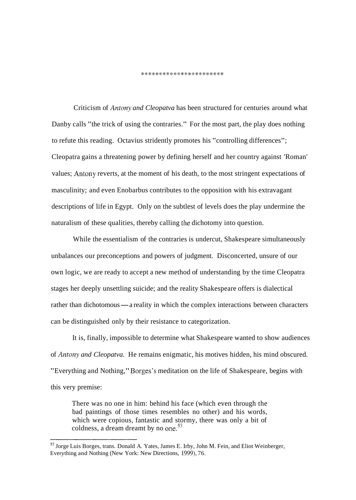\*\*\*\*\*\*\*\*\*\*\*\*\*\*\*\*\*\*\*\*\*\*\*

Criticism of *Antony and Cleopatva* has been structured for centuries around what Danby calls "the trick of using the contraries." For the most part, the play does nothing to refute this reading. Octavius stridently promotes his "controlling differences"; Cleopatra gains a threatening power by defining herself and her country against 'Roman' values; Antony reverts, at the moment of his death, to the most stringent expectations of masculinity; and even Enobarbus contributes to the opposition with his extravagant descriptions of life in Egypt. Only on the subtlest of levels does the play undermine the naturalism of these qualities, thereby calling the dichotomy into question.

While the essentialism of the contraries is undercut, Shakespeare simultaneously unbalances our preconceptions and powers of judgment. Disconcerted, unsure of our own logic, we are ready to accept a new method of understanding by the time Cleopatra stages her deeply unsettling suicide; and the reality Shakespeare offers is dialectical rather than dichotomous — a reality in which the complex interactions between characters can be distinguished only by their resistance to categorization.

It is, finally, impossible to determine what Shakespeare wanted to show audiences of *Antony and Cleopatva.* He remains enigmatic, his motives hidden, his mind obscured. "Everything and Nothing," Borges's meditation on the life of Shakespeare, begins with this very premise:

There was no one in him: behind his face (which even through the bad paintings of those times resembles no other) and his words, which were copious, fantastic and stormy, there was only a bit of coldness, a dream dreamt by no one.<sup>53</sup>

<sup>53</sup> Jorge Luis Borges, trans. Donald A. Yates, James E. Irby, John M. Fein, and Eliot Weinberger, Everything and Nothing (New York: New Directions, 1999), 76.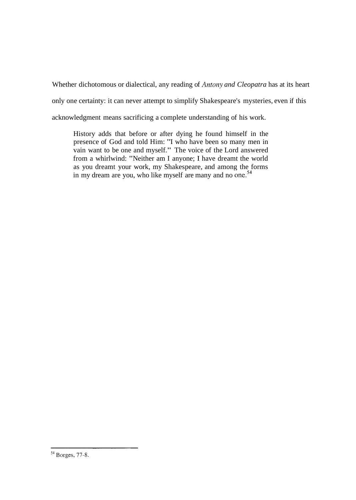Whether dichotomous or dialectical, any reading of *Antony and Cleopatra* has at its heart

only one certainty: it can never attempt to simplify Shakespeare's mysteries, even if this

acknowledgment means sacrificing a complete understanding of his work.

History adds that before or after dying he found himself in the presence of God and told Him: "I who have been so many men in vain want to be one and myself." The voice of the Lord answered from a whirlwind: "Neither am I anyone; I have dreamt the world as you dreamt your work, my Shakespeare, and among the forms in my dream are you, who like myself are many and no one.<sup>54</sup>

<sup>&</sup>lt;sup>54</sup> Borges, 77-8.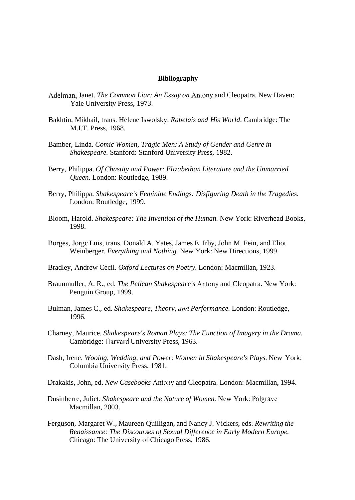## **Bibliography**

- Adelman, Janet. *The Common Liar: An Essay on* Antony and Cleopatra. New Haven: Yale University Press, 1973.
- Bakhtin, Mikhail, trans. Helene Iswolsky. *Rabelais and His World.* Cambridge: The M.I.T. Press, 1968.
- Bamber, Linda. *Comic Women, Tragic Men: A Study of Gender and Genre in Shakespeare.* Stanford: Stanford University Press, 1982.
- Berry, Philippa. *Of Chastity and Power: Elizabethan Literature and the Unmarried Queen.* London: Routledge, 1989.
- Berry, Philippa. *Shakespeare's Feminine Endings: Disfiguring Death in the Tragedies.*  London: Routledge, 1999.
- Bloom, Harold. *Shakespeare: The Invention of the Human.* New York: Riverhead Books, 1998.
- Borges, Jorgc Luis, trans. Donald A. Yates, James E. Irby, John M. Fein, and Eliot Weinberger. *Everything and Nothing.* New York: New Directions, 1999.
- Bradley, Andrew Cecil. *Oxford Lectures on Poetry.* London: Macmillan, 1923.
- Braunmuller, A. R., ed. *The Pelican Shakespeare's* Antony and Cleopatra. New York: Penguin Group, 1999.
- Bulman, James C., ed. *Shakespeare, Theory, and Performance.* London: Routledge, 1996.
- Charney, Maurice. *Shakespeare's Roman Plays: The Function of Imagery in the Drama.*  Cambridge: Harvard University Press, 1963.
- Dash, Irene. *Wooing, Wedding, and Power: Women in Shakespeare's Plays.* New York: Columbia University Press, 1981.
- Drakakis, John, ed. *New Casebooks* Antony and Cleopatra. London: Macmillan, 1994.
- Dusinberre, Juliet. *Shakespeare and the Nature of Women.* New York: Palgrave Macmillan, 2003.
- Ferguson, Margaret W., Maureen Quilligan, and Nancy J. Vickers, eds. *Rewriting the Renaissance: The Discourses of Sexual Difference in Early Modern Europe.*  Chicago: The University of Chicago Press, 1986.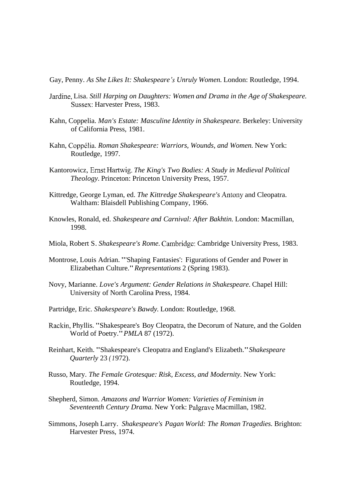Gay, Penny. *As She Likes It: Shakespeare 's Unruly Women.* London: Routledge, 1994.

- Jardine, Lisa. *Still Harping on Daughters: Women and Drama in the Age of Shakespeare.*  Sussex: Harvester Press, 1983.
- Kahn, Coppelia. *Man's Estate: Masculine Identity in Shakespeare.* Berkeley: University of California Press, 1981.
- Kahn, Coppdlia. *Roman Shakespeare: Warriors, Wounds, and Women.* New York: Routledge, 1997.
- Kantorowicz, Ernst Hartwig. *The King's Two Bodies: A Study in Medieval Political Theology.* Princeton: Princeton University Press, 1957.
- Kittredge, George Lyman, ed. *The Kittredge Shakespeare's* Antony and Cleopatra. Waltham: Blaisdell Publishing Company, 1966.
- Knowles, Ronald, ed. *Shakespeare and Carnival: After Bakhtin.* London: Macmillan, 1998.
- Miola, Robert S. *Shakespeare's Rome.* Cambridgc: Cambridge University Press, 1983.
- Montrose, Louis Adrian. "'Shaping Fantasies': Figurations of Gender and Power in Elizabethan Culture." *Representations* 2 (Spring 1983).
- Novy, Marianne. *Love's Argument: Gender Relations in Shakespeare.* Chapel Hill: University of North Carolina Press, 1984.
- Partridge, Eric. *Shakespeare's Bawdy.* London: Routledge, 1968.
- Rackin, Phyllis. "Shakespeare's Boy Cleopatra, the Decorum of Nature, and the Golden World of Poetry." *PMLA* 87 (1972).
- Reinhart, Keith. "Shakespeare's Cleopatra and England's Elizabeth." *Shakespeare Quarterly* 23 *(1972)*.
- Russo, Mary. *The Female Grotesque: Risk, Excess, and Modernity.* New York: Routledge, 1994.
- Shepherd, Simon. *Amazons and Warrior Women: Varieties of Feminism in Seventeenth Century Drama.* New York: Palgrave Macmillan, 1982.
- Simmons, Joseph Larry. *Shakespeare's Pagan World: The Roman Tragedies.* Brighton: Harvester Press, 1974.